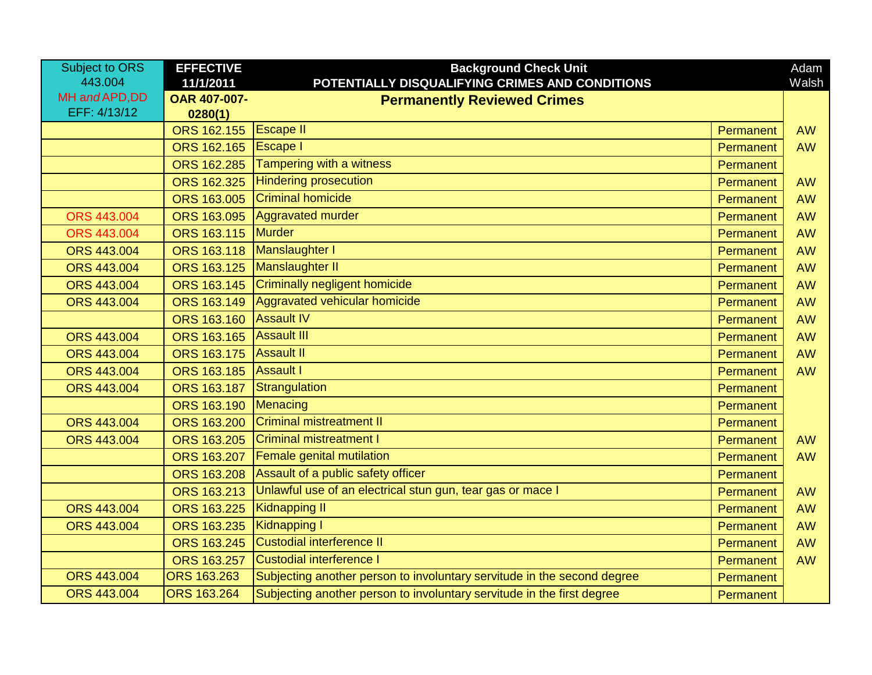| <b>Subject to ORS</b> | <b>EFFECTIVE</b>          | <b>Background Check Unit</b>                                            |           | Adam      |
|-----------------------|---------------------------|-------------------------------------------------------------------------|-----------|-----------|
| 443.004               | 11/1/2011                 | POTENTIALLY DISQUALIFYING CRIMES AND CONDITIONS                         |           | Walsh     |
| MH and APD, DD        | OAR 407-007-              | <b>Permanently Reviewed Crimes</b>                                      |           |           |
| EFF: 4/13/12          | 0280(1)                   |                                                                         |           |           |
|                       | ORS 162.155               | <b>Escape II</b>                                                        | Permanent | <b>AW</b> |
|                       | ORS 162.165               | <b>Escape I</b>                                                         | Permanent | <b>AW</b> |
|                       | <b>ORS 162.285</b>        | Tampering with a witness                                                | Permanent |           |
|                       | ORS 162.325               | <b>Hindering prosecution</b>                                            | Permanent | <b>AW</b> |
|                       | ORS 163.005               | <b>Criminal homicide</b>                                                | Permanent | <b>AW</b> |
| <b>ORS 443.004</b>    | ORS 163.095               | Aggravated murder                                                       | Permanent | <b>AW</b> |
| <b>ORS 443.004</b>    | <b>ORS 163.115 Murder</b> |                                                                         | Permanent | <b>AW</b> |
| ORS 443,004           | ORS 163.118               | Manslaughter I                                                          | Permanent | <b>AW</b> |
| <b>ORS 443.004</b>    | ORS 163.125               | Manslaughter II                                                         | Permanent | <b>AW</b> |
| <b>ORS 443.004</b>    | ORS 163.145               | Criminally negligent homicide                                           | Permanent | <b>AW</b> |
| <b>ORS 443.004</b>    | ORS 163.149               | Aggravated vehicular homicide                                           | Permanent | <b>AW</b> |
|                       | ORS 163.160               | <b>Assault IV</b>                                                       | Permanent | <b>AW</b> |
| <b>ORS 443.004</b>    | ORS 163.165               | <b>Assault III</b>                                                      | Permanent | <b>AW</b> |
| <b>ORS 443.004</b>    | ORS 163.175               | <b>Assault II</b>                                                       | Permanent | <b>AW</b> |
| ORS 443.004           | ORS 163.185 Assault I     |                                                                         | Permanent | <b>AW</b> |
| ORS 443.004           | ORS 163.187               | Strangulation                                                           | Permanent |           |
|                       | ORS 163.190               | Menacing                                                                | Permanent |           |
| ORS 443.004           | ORS 163.200               | <b>Criminal mistreatment II</b>                                         | Permanent |           |
| <b>ORS 443.004</b>    | ORS 163.205               | <b>Criminal mistreatment I</b>                                          | Permanent | <b>AW</b> |
|                       | ORS 163.207               | <b>Female genital mutilation</b>                                        | Permanent | <b>AW</b> |
|                       | ORS 163.208               | Assault of a public safety officer                                      | Permanent |           |
|                       | ORS 163.213               | Unlawful use of an electrical stun gun, tear gas or mace I              | Permanent | <b>AW</b> |
| <b>ORS 443.004</b>    | ORS 163.225               | <b>Kidnapping II</b>                                                    | Permanent | <b>AW</b> |
| <b>ORS 443.004</b>    | ORS 163.235               | Kidnapping I                                                            | Permanent | <b>AW</b> |
|                       | ORS 163.245               | <b>Custodial interference II</b>                                        | Permanent | <b>AW</b> |
|                       | ORS 163.257               | Custodial interference I                                                | Permanent | <b>AW</b> |
| <b>ORS 443.004</b>    | ORS 163.263               | Subjecting another person to involuntary servitude in the second degree | Permanent |           |
| <b>ORS 443.004</b>    | <b>ORS 163.264</b>        | Subjecting another person to involuntary servitude in the first degree  | Permanent |           |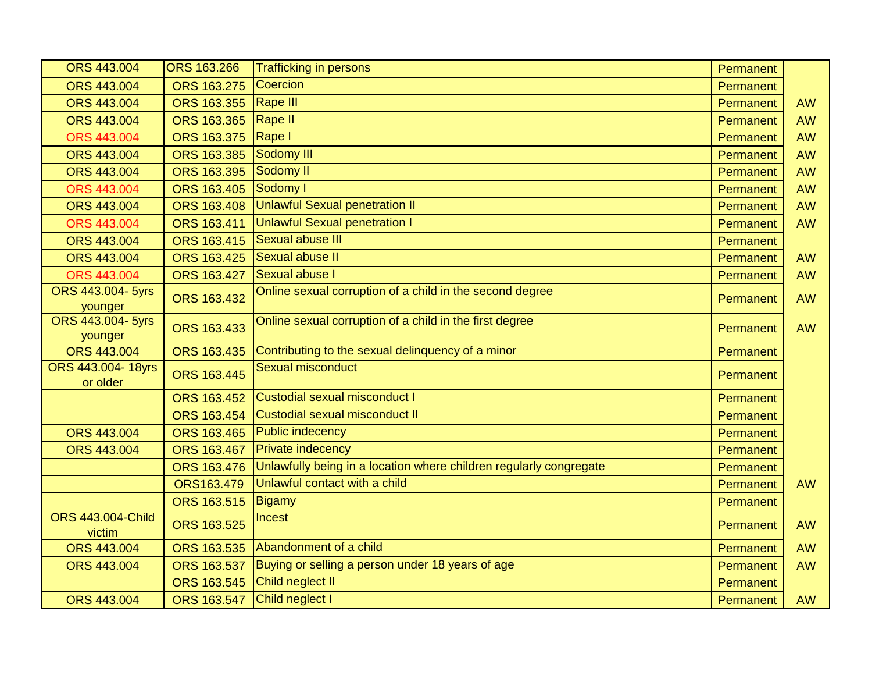| <b>ORS 443.004</b>                   | <b>ORS 163.266</b> | <b>Trafficking in persons</b>                                      | Permanent |           |
|--------------------------------------|--------------------|--------------------------------------------------------------------|-----------|-----------|
| <b>ORS 443.004</b>                   | ORS 163.275        | Coercion                                                           | Permanent |           |
| <b>ORS 443.004</b>                   | ORS 163.355        | Rape III                                                           | Permanent | <b>AW</b> |
| <b>ORS 443.004</b>                   | ORS 163.365        | Rape II                                                            | Permanent | <b>AW</b> |
| <b>ORS 443.004</b>                   | ORS 163.375        | <b>Rape I</b>                                                      | Permanent | <b>AW</b> |
| <b>ORS 443.004</b>                   | ORS 163.385        | Sodomy III                                                         | Permanent | <b>AW</b> |
| <b>ORS 443.004</b>                   | ORS 163.395        | Sodomy II                                                          | Permanent | <b>AW</b> |
| <b>ORS 443.004</b>                   | ORS 163.405        | Sodomy I                                                           | Permanent | <b>AW</b> |
| ORS 443.004                          | ORS 163.408        | <b>Unlawful Sexual penetration II</b>                              | Permanent | <b>AW</b> |
| <b>ORS 443.004</b>                   | ORS 163.411        | <b>Unlawful Sexual penetration I</b>                               | Permanent | <b>AW</b> |
| <b>ORS 443.004</b>                   | ORS 163.415        | Sexual abuse III                                                   | Permanent |           |
| <b>ORS 443.004</b>                   | ORS 163.425        | Sexual abuse II                                                    | Permanent | <b>AW</b> |
| <b>ORS 443.004</b>                   | ORS 163.427        | Sexual abuse I                                                     | Permanent | <b>AW</b> |
| ORS 443.004- 5yrs<br>younger         | ORS 163.432        | Online sexual corruption of a child in the second degree           | Permanent | <b>AW</b> |
| ORS 443.004- 5yrs<br>younger         | ORS 163.433        | Online sexual corruption of a child in the first degree            | Permanent | <b>AW</b> |
| ORS 443.004                          | ORS 163.435        | Contributing to the sexual delinquency of a minor                  | Permanent |           |
| <b>ORS 443.004-18yrs</b><br>or older | ORS 163.445        | Sexual misconduct                                                  | Permanent |           |
|                                      | ORS 163.452        | Custodial sexual misconduct I                                      | Permanent |           |
|                                      | ORS 163.454        | Custodial sexual misconduct II                                     | Permanent |           |
| <b>ORS 443.004</b>                   | ORS 163.465        | <b>Public indecency</b>                                            | Permanent |           |
| ORS 443.004                          | ORS 163.467        | <b>Private indecency</b>                                           | Permanent |           |
|                                      | ORS 163.476        | Unlawfully being in a location where children regularly congregate | Permanent |           |
|                                      | ORS163.479         | Unlawful contact with a child                                      | Permanent | <b>AW</b> |
|                                      | ORS 163.515        | <b>Bigamy</b>                                                      | Permanent |           |
| <b>ORS 443.004-Child</b><br>victim   | ORS 163.525        | <b>Incest</b>                                                      | Permanent | <b>AW</b> |
| ORS 443.004                          | ORS 163.535        | Abandonment of a child                                             | Permanent | <b>AW</b> |
| ORS 443.004                          | ORS 163.537        | Buying or selling a person under 18 years of age                   | Permanent | <b>AW</b> |
|                                      | ORS 163.545        | Child neglect II                                                   | Permanent |           |
| ORS 443.004                          | ORS 163.547        | Child neglect I                                                    | Permanent | <b>AW</b> |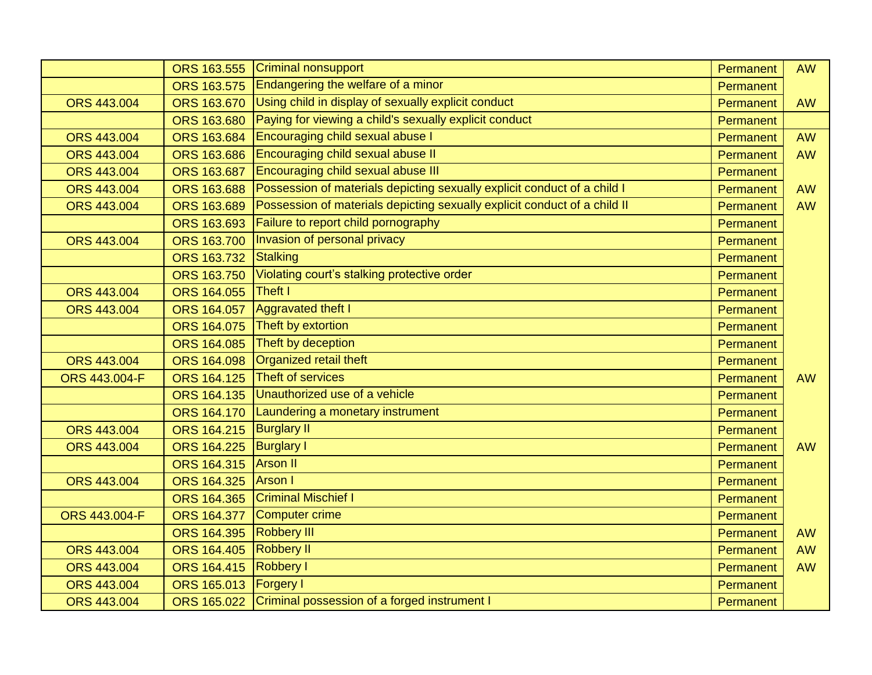|                    | ORS 163.555        | Criminal nonsupport                                                       | Permanent | <b>AW</b> |
|--------------------|--------------------|---------------------------------------------------------------------------|-----------|-----------|
|                    | ORS 163.575        | Endangering the welfare of a minor                                        | Permanent |           |
| <b>ORS 443.004</b> | ORS 163.670        | Using child in display of sexually explicit conduct                       | Permanent | <b>AW</b> |
|                    | ORS 163.680        | Paying for viewing a child's sexually explicit conduct                    | Permanent |           |
| <b>ORS 443,004</b> | ORS 163.684        | <b>Encouraging child sexual abuse I</b>                                   | Permanent | <b>AW</b> |
| <b>ORS 443.004</b> | <b>ORS 163.686</b> | Encouraging child sexual abuse II                                         | Permanent | <b>AW</b> |
| <b>ORS 443.004</b> | ORS 163.687        | <b>Encouraging child sexual abuse III</b>                                 | Permanent |           |
| <b>ORS 443.004</b> | ORS 163.688        | Possession of materials depicting sexually explicit conduct of a child I  | Permanent | <b>AW</b> |
| ORS 443.004        | ORS 163.689        | Possession of materials depicting sexually explicit conduct of a child II | Permanent | <b>AW</b> |
|                    | ORS 163.693        | Failure to report child pornography                                       | Permanent |           |
| <b>ORS 443.004</b> | ORS 163.700        | Invasion of personal privacy                                              | Permanent |           |
|                    | ORS 163.732        | Stalking                                                                  | Permanent |           |
|                    | ORS 163.750        | Violating court's stalking protective order                               | Permanent |           |
| <b>ORS 443.004</b> | ORS 164.055        | Theft I                                                                   | Permanent |           |
| ORS 443.004        | ORS 164.057        | Aggravated theft I                                                        | Permanent |           |
|                    | ORS 164.075        | Theft by extortion                                                        | Permanent |           |
|                    | ORS 164.085        | Theft by deception                                                        | Permanent |           |
| <b>ORS 443.004</b> | ORS 164.098        | Organized retail theft                                                    | Permanent |           |
| ORS 443.004-F      | ORS 164.125        | Theft of services                                                         | Permanent | <b>AW</b> |
|                    | ORS 164.135        | Unauthorized use of a vehicle                                             | Permanent |           |
|                    | ORS 164.170        | Laundering a monetary instrument                                          | Permanent |           |
| <b>ORS 443.004</b> | ORS 164.215        | <b>Burglary II</b>                                                        | Permanent |           |
| ORS 443.004        | <b>ORS 164.225</b> | <b>Burglary I</b>                                                         | Permanent | <b>AW</b> |
|                    | ORS 164.315        | <b>Arson II</b>                                                           | Permanent |           |
| ORS 443.004        | ORS 164.325        | <b>Arson</b> I                                                            | Permanent |           |
|                    | <b>ORS 164.365</b> | <b>Criminal Mischief I</b>                                                | Permanent |           |
| ORS 443.004-F      | ORS 164.377        | Computer crime                                                            | Permanent |           |
|                    | ORS 164.395        | <b>Robbery III</b>                                                        | Permanent | <b>AW</b> |
| <b>ORS 443.004</b> | <b>ORS 164.405</b> | <b>Robbery II</b>                                                         | Permanent | <b>AW</b> |
| ORS 443.004        | ORS 164.415        | <b>Robbery I</b>                                                          | Permanent | <b>AW</b> |
| <b>ORS 443.004</b> | ORS 165.013        | <b>Forgery I</b>                                                          | Permanent |           |
| <b>ORS 443.004</b> | ORS 165.022        | Criminal possession of a forged instrument I                              | Permanent |           |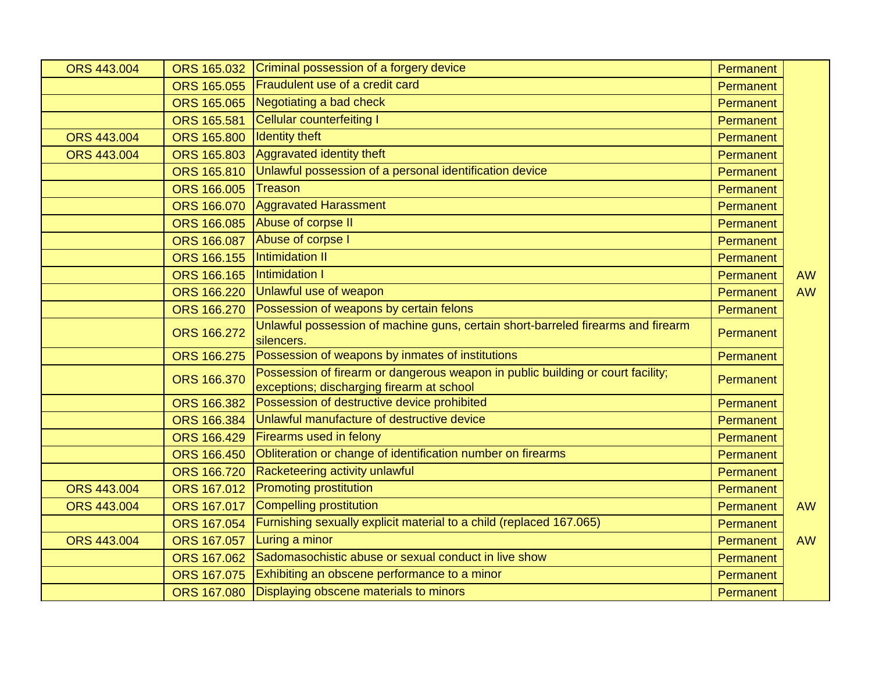| <b>ORS 443.004</b> | ORS 165.032        | Criminal possession of a forgery device                                                                                      | Permanent |           |
|--------------------|--------------------|------------------------------------------------------------------------------------------------------------------------------|-----------|-----------|
|                    |                    | ORS 165.055 Fraudulent use of a credit card                                                                                  | Permanent |           |
|                    |                    | ORS 165.065 Negotiating a bad check                                                                                          | Permanent |           |
|                    | ORS 165.581        | Cellular counterfeiting I                                                                                                    | Permanent |           |
| <b>ORS 443.004</b> | ORS 165.800        | <b>Identity theft</b>                                                                                                        | Permanent |           |
| <b>ORS 443.004</b> | ORS 165.803        | Aggravated identity theft                                                                                                    | Permanent |           |
|                    | ORS 165.810        | Unlawful possession of a personal identification device                                                                      | Permanent |           |
|                    | ORS 166.005        | Treason                                                                                                                      | Permanent |           |
|                    | ORS 166.070        | <b>Aggravated Harassment</b>                                                                                                 | Permanent |           |
|                    | ORS 166.085        | Abuse of corpse II                                                                                                           | Permanent |           |
|                    |                    | ORS 166.087 Abuse of corpse I                                                                                                | Permanent |           |
|                    | <b>ORS 166.155</b> | <b>Intimidation II</b>                                                                                                       | Permanent |           |
|                    | ORS 166.165        | Intimidation I                                                                                                               | Permanent | <b>AW</b> |
|                    | ORS 166.220        | Unlawful use of weapon                                                                                                       | Permanent | <b>AW</b> |
|                    | ORS 166.270        | Possession of weapons by certain felons                                                                                      | Permanent |           |
|                    | ORS 166.272        | Unlawful possession of machine guns, certain short-barreled firearms and firearm<br>silencers.                               | Permanent |           |
|                    | ORS 166.275        | Possession of weapons by inmates of institutions                                                                             | Permanent |           |
|                    | ORS 166.370        | Possession of firearm or dangerous weapon in public building or court facility;<br>exceptions; discharging firearm at school | Permanent |           |
|                    | ORS 166.382        | Possession of destructive device prohibited                                                                                  | Permanent |           |
|                    | ORS 166.384        | Unlawful manufacture of destructive device                                                                                   | Permanent |           |
|                    | ORS 166.429        | <b>Firearms used in felony</b>                                                                                               | Permanent |           |
|                    | ORS 166.450        | Obliteration or change of identification number on firearms                                                                  | Permanent |           |
|                    | ORS 166.720        | Racketeering activity unlawful                                                                                               | Permanent |           |
| ORS 443.004        | ORS 167.012        | <b>Promoting prostitution</b>                                                                                                | Permanent |           |
| <b>ORS 443.004</b> | ORS 167.017        | Compelling prostitution                                                                                                      | Permanent | <b>AW</b> |
|                    | ORS 167.054        | Furnishing sexually explicit material to a child (replaced 167.065)                                                          | Permanent |           |
| <b>ORS 443.004</b> | ORS 167.057        | Luring a minor                                                                                                               | Permanent | <b>AW</b> |
|                    | ORS 167.062        | Sadomasochistic abuse or sexual conduct in live show                                                                         | Permanent |           |
|                    | ORS 167.075        | Exhibiting an obscene performance to a minor                                                                                 | Permanent |           |
|                    |                    | ORS 167.080 Displaying obscene materials to minors                                                                           | Permanent |           |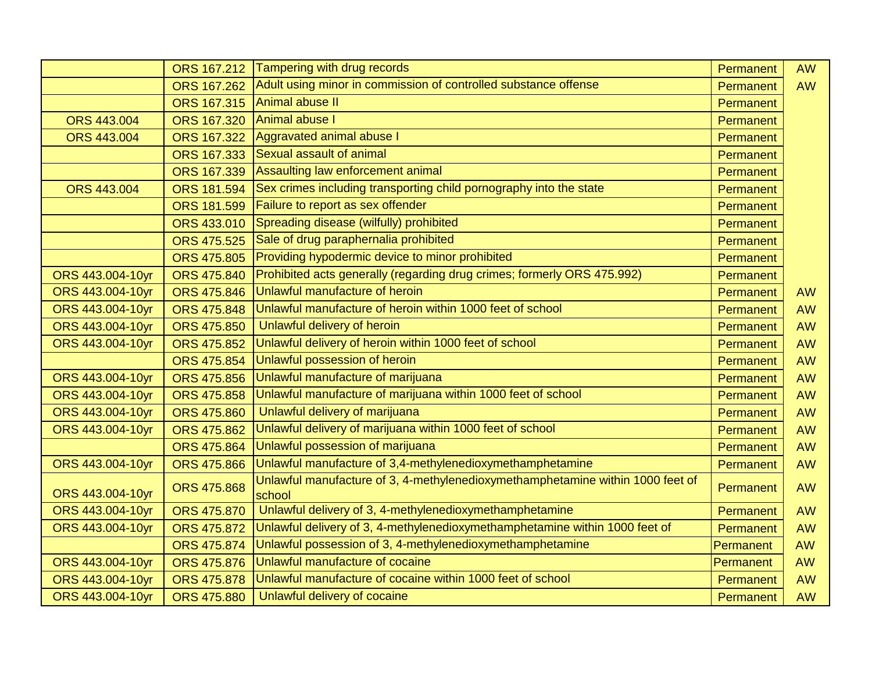|                    | ORS 167.212        | Tampering with drug records                                                              | Permanent | <b>AW</b> |
|--------------------|--------------------|------------------------------------------------------------------------------------------|-----------|-----------|
|                    | <b>ORS 167.262</b> | Adult using minor in commission of controlled substance offense                          | Permanent | <b>AW</b> |
|                    | ORS 167.315        | Animal abuse II                                                                          | Permanent |           |
| ORS 443.004        | ORS 167.320        | Animal abuse I                                                                           | Permanent |           |
| <b>ORS 443.004</b> | <b>ORS 167.322</b> | Aggravated animal abuse I                                                                | Permanent |           |
|                    | ORS 167.333        | Sexual assault of animal                                                                 | Permanent |           |
|                    | ORS 167.339        | Assaulting law enforcement animal                                                        | Permanent |           |
| <b>ORS 443.004</b> | ORS 181.594        | Sex crimes including transporting child pornography into the state                       | Permanent |           |
|                    | ORS 181.599        | Failure to report as sex offender                                                        | Permanent |           |
|                    | ORS 433.010        | Spreading disease (wilfully) prohibited                                                  | Permanent |           |
|                    | <b>ORS 475.525</b> | Sale of drug paraphernalia prohibited                                                    | Permanent |           |
|                    | <b>ORS 475.805</b> | Providing hypodermic device to minor prohibited                                          | Permanent |           |
| ORS 443.004-10yr   | ORS 475.840        | Prohibited acts generally (regarding drug crimes; formerly ORS 475.992)                  | Permanent |           |
| ORS 443.004-10yr   | ORS 475.846        | Unlawful manufacture of heroin                                                           | Permanent | <b>AW</b> |
| ORS 443.004-10yr   | <b>ORS 475.848</b> | Unlawful manufacture of heroin within 1000 feet of school                                | Permanent | <b>AW</b> |
| ORS 443.004-10yr   | <b>ORS 475.850</b> | Unlawful delivery of heroin                                                              | Permanent | <b>AW</b> |
| ORS 443.004-10yr   | ORS 475.852        | Unlawful delivery of heroin within 1000 feet of school                                   | Permanent | <b>AW</b> |
|                    | <b>ORS 475.854</b> | Unlawful possession of heroin                                                            | Permanent | <b>AW</b> |
| ORS 443.004-10yr   | <b>ORS 475.856</b> | Unlawful manufacture of marijuana                                                        | Permanent | <b>AW</b> |
| ORS 443.004-10yr   | ORS 475.858        | Unlawful manufacture of marijuana within 1000 feet of school                             | Permanent | <b>AW</b> |
| ORS 443.004-10yr   | <b>ORS 475.860</b> | Unlawful delivery of marijuana                                                           | Permanent | <b>AW</b> |
| ORS 443.004-10yr   | ORS 475.862        | Unlawful delivery of marijuana within 1000 feet of school                                | Permanent | <b>AW</b> |
|                    | <b>ORS 475.864</b> | Unlawful possession of marijuana                                                         | Permanent | <b>AW</b> |
| ORS 443.004-10yr   | <b>ORS 475.866</b> | Unlawful manufacture of 3,4-methylenedioxymethamphetamine                                | Permanent | <b>AW</b> |
| ORS 443.004-10yr   | <b>ORS 475.868</b> | Unlawful manufacture of 3, 4-methylenedioxymethamphetamine within 1000 feet of<br>school | Permanent | <b>AW</b> |
| ORS 443.004-10yr   | <b>ORS 475.870</b> | Unlawful delivery of 3, 4-methylenedioxymethamphetamine                                  | Permanent | <b>AW</b> |
| ORS 443.004-10yr   | <b>ORS 475.872</b> | Unlawful delivery of 3, 4-methylenedioxymethamphetamine within 1000 feet of              | Permanent | <b>AW</b> |
|                    | <b>ORS 475.874</b> | Unlawful possession of 3, 4-methylenedioxymethamphetamine                                | Permanent | <b>AW</b> |
| ORS 443.004-10yr   | <b>ORS 475.876</b> | Unlawful manufacture of cocaine                                                          | Permanent | <b>AW</b> |
| ORS 443.004-10yr   | <b>ORS 475.878</b> | Unlawful manufacture of cocaine within 1000 feet of school                               | Permanent | <b>AW</b> |
| ORS 443.004-10yr   | <b>ORS 475.880</b> | Unlawful delivery of cocaine                                                             | Permanent | <b>AW</b> |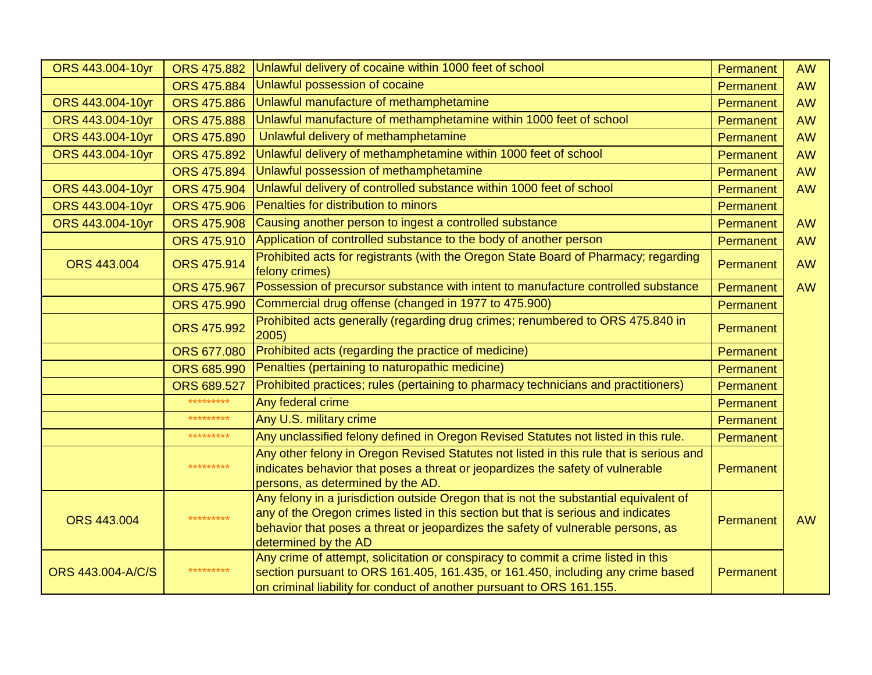| ORS 443.004-10yr   | <b>ORS 475.882</b> | Unlawful delivery of cocaine within 1000 feet of school                                                                                                                                                                                                                                | Permanent        | <b>AW</b> |
|--------------------|--------------------|----------------------------------------------------------------------------------------------------------------------------------------------------------------------------------------------------------------------------------------------------------------------------------------|------------------|-----------|
|                    | ORS 475.884        | Unlawful possession of cocaine                                                                                                                                                                                                                                                         | Permanent        | <b>AW</b> |
| ORS 443.004-10yr   | <b>ORS 475.886</b> | Unlawful manufacture of methamphetamine                                                                                                                                                                                                                                                | Permanent        | <b>AW</b> |
| ORS 443.004-10yr   | <b>ORS 475.888</b> | Unlawful manufacture of methamphetamine within 1000 feet of school                                                                                                                                                                                                                     | Permanent        | <b>AW</b> |
| ORS 443.004-10yr   | ORS 475.890        | Unlawful delivery of methamphetamine                                                                                                                                                                                                                                                   | <b>Permanent</b> | <b>AW</b> |
| ORS 443.004-10yr   | ORS 475.892        | Unlawful delivery of methamphetamine within 1000 feet of school                                                                                                                                                                                                                        | Permanent        | <b>AW</b> |
|                    | ORS 475.894        | Unlawful possession of methamphetamine                                                                                                                                                                                                                                                 | Permanent        | <b>AW</b> |
| ORS 443.004-10yr   | ORS 475.904        | Unlawful delivery of controlled substance within 1000 feet of school                                                                                                                                                                                                                   | Permanent        | <b>AW</b> |
| ORS 443.004-10yr   | <b>ORS 475.906</b> | Penalties for distribution to minors                                                                                                                                                                                                                                                   | Permanent        |           |
| ORS 443.004-10yr   | <b>ORS 475.908</b> | Causing another person to ingest a controlled substance                                                                                                                                                                                                                                | Permanent        | <b>AW</b> |
|                    | ORS 475.910        | Application of controlled substance to the body of another person                                                                                                                                                                                                                      | Permanent        | <b>AW</b> |
| ORS 443.004        | ORS 475.914        | Prohibited acts for registrants (with the Oregon State Board of Pharmacy; regarding                                                                                                                                                                                                    | Permanent        | <b>AW</b> |
|                    |                    | felony crimes)                                                                                                                                                                                                                                                                         |                  |           |
|                    | <b>ORS 475.967</b> | Possession of precursor substance with intent to manufacture controlled substance                                                                                                                                                                                                      | Permanent        | <b>AW</b> |
|                    | <b>ORS 475.990</b> | Commercial drug offense (changed in 1977 to 475.900)                                                                                                                                                                                                                                   | Permanent        |           |
|                    | ORS 475.992        | Prohibited acts generally (regarding drug crimes; renumbered to ORS 475.840 in<br>2005)                                                                                                                                                                                                | <b>Permanent</b> |           |
|                    | ORS 677.080        | Prohibited acts (regarding the practice of medicine)                                                                                                                                                                                                                                   | Permanent        |           |
|                    | ORS 685.990        | Penalties (pertaining to naturopathic medicine)                                                                                                                                                                                                                                        | Permanent        |           |
|                    | ORS 689.527        | Prohibited practices; rules (pertaining to pharmacy technicians and practitioners)                                                                                                                                                                                                     | Permanent        |           |
|                    | *********          | Any federal crime                                                                                                                                                                                                                                                                      | Permanent        |           |
|                    | *********          | Any U.S. military crime                                                                                                                                                                                                                                                                | Permanent        |           |
|                    | *********          | Any unclassified felony defined in Oregon Revised Statutes not listed in this rule.                                                                                                                                                                                                    | Permanent        |           |
|                    | *********          | Any other felony in Oregon Revised Statutes not listed in this rule that is serious and<br>indicates behavior that poses a threat or jeopardizes the safety of vulnerable<br>persons, as determined by the AD.                                                                         | Permanent        |           |
| <b>ORS 443.004</b> | *********          | Any felony in a jurisdiction outside Oregon that is not the substantial equivalent of<br>any of the Oregon crimes listed in this section but that is serious and indicates<br>behavior that poses a threat or jeopardizes the safety of vulnerable persons, as<br>determined by the AD | Permanent        | <b>AW</b> |
| ORS 443.004-A/C/S  | *********          | Any crime of attempt, solicitation or conspiracy to commit a crime listed in this<br>section pursuant to ORS 161.405, 161.435, or 161.450, including any crime based<br>on criminal liability for conduct of another pursuant to ORS 161.155.                                          | Permanent        |           |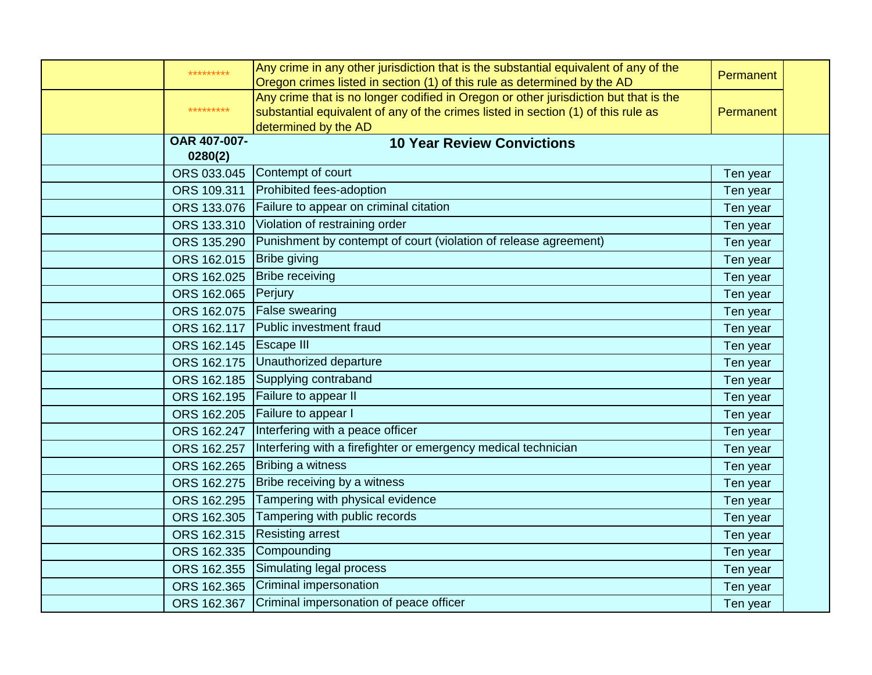| *********                  | Any crime in any other jurisdiction that is the substantial equivalent of any of the<br>Oregon crimes listed in section (1) of this rule as determined by the AD                                  | Permanent |  |
|----------------------------|---------------------------------------------------------------------------------------------------------------------------------------------------------------------------------------------------|-----------|--|
| *********                  | Any crime that is no longer codified in Oregon or other jurisdiction but that is the<br>substantial equivalent of any of the crimes listed in section (1) of this rule as<br>determined by the AD | Permanent |  |
| OAR 407-007-<br>0280(2)    | <b>10 Year Review Convictions</b>                                                                                                                                                                 |           |  |
| ORS 033.045                | Contempt of court                                                                                                                                                                                 | Ten year  |  |
| ORS 109.311                | Prohibited fees-adoption                                                                                                                                                                          | Ten year  |  |
|                            | ORS 133.076   Failure to appear on criminal citation                                                                                                                                              | Ten year  |  |
| ORS 133.310                | Violation of restraining order                                                                                                                                                                    | Ten year  |  |
| ORS 135.290                | Punishment by contempt of court (violation of release agreement)                                                                                                                                  | Ten year  |  |
| ORS 162.015   Bribe giving |                                                                                                                                                                                                   | Ten year  |  |
| ORS 162.025                | <b>Bribe receiving</b>                                                                                                                                                                            | Ten year  |  |
| ORS 162.065                | Perjury                                                                                                                                                                                           | Ten year  |  |
|                            | ORS 162.075   False swearing                                                                                                                                                                      | Ten year  |  |
| ORS 162.117                | Public investment fraud                                                                                                                                                                           | Ten year  |  |
| ORS 162.145 Escape III     |                                                                                                                                                                                                   | Ten year  |  |
|                            | ORS 162.175 Unauthorized departure                                                                                                                                                                | Ten year  |  |
| ORS 162.185                | Supplying contraband                                                                                                                                                                              | Ten year  |  |
|                            | ORS 162.195 Failure to appear II                                                                                                                                                                  | Ten year  |  |
|                            | ORS 162.205 Failure to appear I                                                                                                                                                                   | Ten year  |  |
| ORS 162.247                | Interfering with a peace officer                                                                                                                                                                  | Ten year  |  |
| ORS 162.257                | Interfering with a firefighter or emergency medical technician                                                                                                                                    | Ten year  |  |
|                            | ORS 162.265 Bribing a witness                                                                                                                                                                     | Ten year  |  |
| ORS 162.275                | Bribe receiving by a witness                                                                                                                                                                      | Ten year  |  |
| ORS 162.295                | Tampering with physical evidence                                                                                                                                                                  | Ten year  |  |
| ORS 162.305                | Tampering with public records                                                                                                                                                                     | Ten year  |  |
| ORS 162.315                | <b>Resisting arrest</b>                                                                                                                                                                           | Ten year  |  |
| ORS 162.335                | Compounding                                                                                                                                                                                       | Ten year  |  |
| ORS 162.355                | Simulating legal process                                                                                                                                                                          | Ten year  |  |
| ORS 162.365                | Criminal impersonation                                                                                                                                                                            | Ten year  |  |
| ORS 162.367                | Criminal impersonation of peace officer                                                                                                                                                           | Ten year  |  |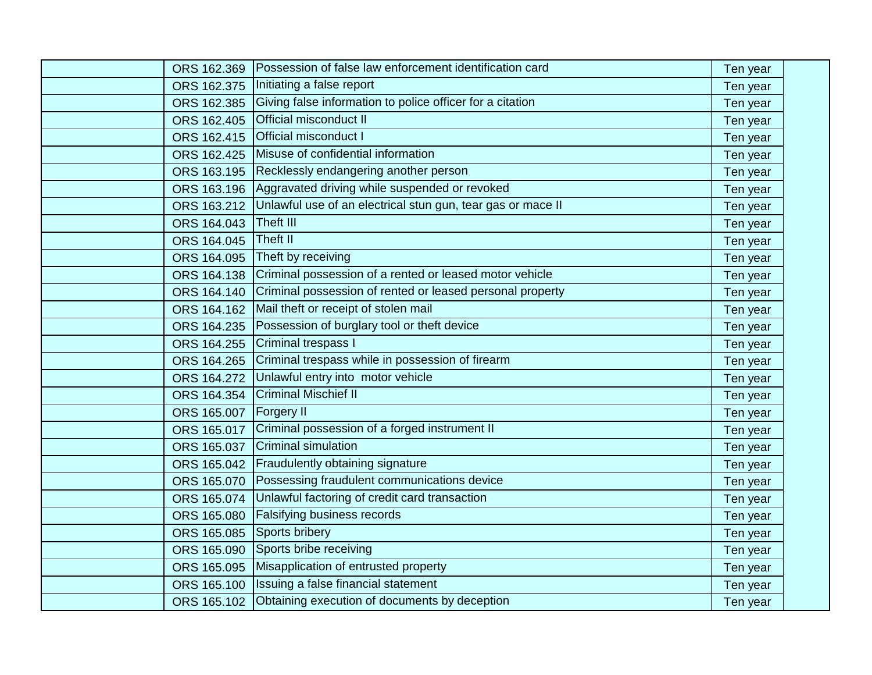| ORS 162.369 | Possession of false law enforcement identification card     | Ten year |  |
|-------------|-------------------------------------------------------------|----------|--|
| ORS 162.375 | Initiating a false report                                   | Ten year |  |
| ORS 162.385 | Giving false information to police officer for a citation   | Ten year |  |
| ORS 162.405 | Official misconduct II                                      | Ten year |  |
| ORS 162.415 | <b>Official misconduct I</b>                                | Ten year |  |
| ORS 162.425 | Misuse of confidential information                          | Ten year |  |
| ORS 163.195 | Recklessly endangering another person                       | Ten year |  |
| ORS 163.196 | Aggravated driving while suspended or revoked               | Ten year |  |
| ORS 163.212 | Unlawful use of an electrical stun gun, tear gas or mace II | Ten year |  |
| ORS 164.043 | Theft III                                                   | Ten year |  |
| ORS 164.045 | <b>Theft II</b>                                             | Ten year |  |
| ORS 164.095 | Theft by receiving                                          | Ten year |  |
| ORS 164.138 | Criminal possession of a rented or leased motor vehicle     | Ten year |  |
| ORS 164.140 | Criminal possession of rented or leased personal property   | Ten year |  |
| ORS 164.162 | Mail theft or receipt of stolen mail                        | Ten year |  |
| ORS 164.235 | Possession of burglary tool or theft device                 | Ten year |  |
| ORS 164.255 | Criminal trespass I                                         | Ten year |  |
| ORS 164.265 | Criminal trespass while in possession of firearm            | Ten year |  |
| ORS 164.272 | Unlawful entry into motor vehicle                           | Ten year |  |
| ORS 164.354 | <b>Criminal Mischief II</b>                                 | Ten year |  |
| ORS 165.007 | <b>Forgery II</b>                                           | Ten year |  |
| ORS 165.017 | Criminal possession of a forged instrument II               | Ten year |  |
| ORS 165.037 | <b>Criminal simulation</b>                                  | Ten year |  |
| ORS 165.042 | <b>Fraudulently obtaining signature</b>                     | Ten year |  |
| ORS 165.070 | Possessing fraudulent communications device                 | Ten year |  |
| ORS 165.074 | Unlawful factoring of credit card transaction               | Ten year |  |
| ORS 165.080 | Falsifying business records                                 | Ten year |  |
| ORS 165.085 | Sports bribery                                              | Ten year |  |
| ORS 165.090 | Sports bribe receiving                                      | Ten year |  |
| ORS 165.095 | Misapplication of entrusted property                        | Ten year |  |
| ORS 165.100 | Issuing a false financial statement                         | Ten year |  |
| ORS 165.102 | Obtaining execution of documents by deception               | Ten year |  |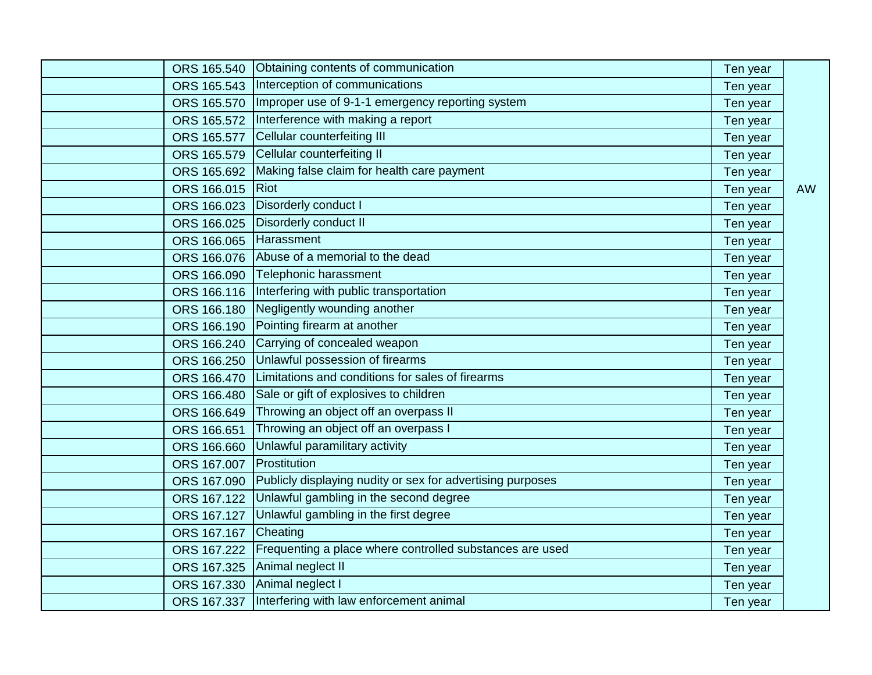|                        | ORS 165.540 Obtaining contents of communication            | Ten year |           |
|------------------------|------------------------------------------------------------|----------|-----------|
|                        | ORS 165.543  Interception of communications                | Ten year |           |
| ORS 165.570            | Improper use of 9-1-1 emergency reporting system           | Ten year |           |
| ORS 165.572            | Interference with making a report                          | Ten year |           |
| ORS 165.577            | Cellular counterfeiting III                                | Ten year |           |
|                        | ORS 165.579 Cellular counterfeiting II                     | Ten year |           |
| ORS 165.692            | Making false claim for health care payment                 | Ten year |           |
| ORS 166.015            | Riot                                                       | Ten year | <b>AW</b> |
|                        | ORS 166.023 Disorderly conduct I                           | Ten year |           |
| ORS 166.025            | Disorderly conduct II                                      | Ten year |           |
| ORS 166.065 Harassment |                                                            | Ten year |           |
|                        | ORS 166.076 Abuse of a memorial to the dead                | Ten year |           |
| ORS 166.090            | Telephonic harassment                                      | Ten year |           |
|                        | ORS 166.116  Interfering with public transportation        | Ten year |           |
| ORS 166.180            | Negligently wounding another                               | Ten year |           |
| ORS 166.190            | Pointing firearm at another                                | Ten year |           |
| ORS 166.240            | Carrying of concealed weapon                               | Ten year |           |
| ORS 166.250            | Unlawful possession of firearms                            | Ten year |           |
| ORS 166.470            | Limitations and conditions for sales of firearms           | Ten year |           |
| ORS 166.480            | Sale or gift of explosives to children                     | Ten year |           |
| ORS 166.649            | Throwing an object off an overpass II                      | Ten year |           |
| ORS 166.651            | Throwing an object off an overpass I                       | Ten year |           |
| ORS 166.660            | Unlawful paramilitary activity                             | Ten year |           |
| ORS 167.007            | Prostitution                                               | Ten year |           |
| ORS 167.090            | Publicly displaying nudity or sex for advertising purposes | Ten year |           |
| ORS 167.122            | Unlawful gambling in the second degree                     | Ten year |           |
| ORS 167.127            | Unlawful gambling in the first degree                      | Ten year |           |
| ORS 167.167            | Cheating                                                   | Ten year |           |
| ORS 167.222            | Frequenting a place where controlled substances are used   | Ten year |           |
|                        | ORS 167.325 Animal neglect II                              | Ten year |           |
| ORS 167.330            | Animal neglect I                                           | Ten year |           |
|                        | ORS 167.337 Interfering with law enforcement animal        | Ten year |           |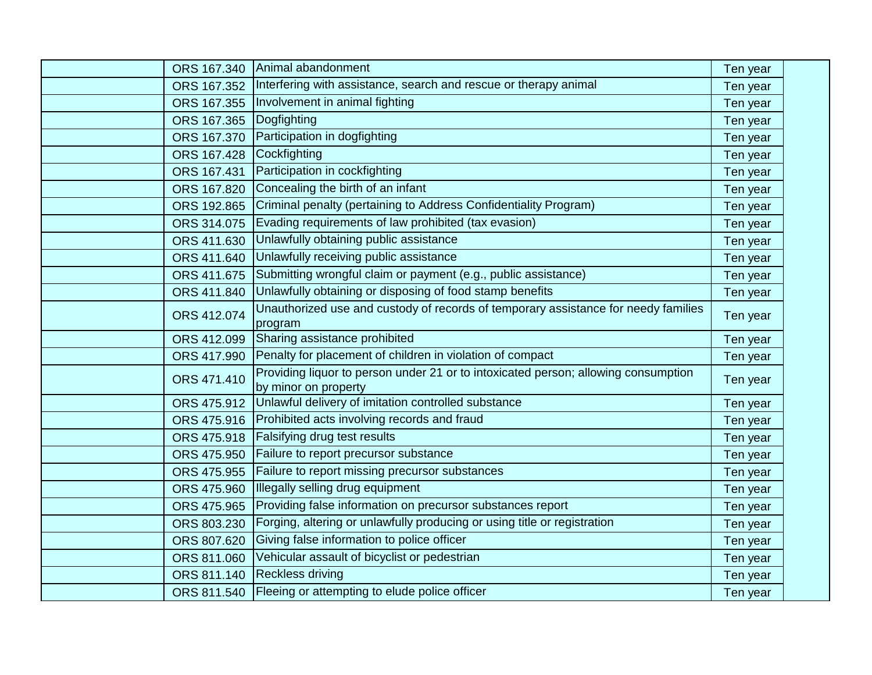| ORS 167.340 | Animal abandonment                                                                                         | Ten year |  |
|-------------|------------------------------------------------------------------------------------------------------------|----------|--|
| ORS 167.352 | Interfering with assistance, search and rescue or therapy animal                                           | Ten year |  |
| ORS 167.355 | Involvement in animal fighting                                                                             | Ten year |  |
| ORS 167.365 | Dogfighting                                                                                                | Ten year |  |
| ORS 167.370 | Participation in dogfighting                                                                               | Ten year |  |
| ORS 167.428 | Cockfighting                                                                                               | Ten year |  |
| ORS 167.431 | Participation in cockfighting                                                                              | Ten year |  |
| ORS 167.820 | Concealing the birth of an infant                                                                          | Ten year |  |
| ORS 192.865 | Criminal penalty (pertaining to Address Confidentiality Program)                                           | Ten year |  |
| ORS 314.075 | Evading requirements of law prohibited (tax evasion)                                                       | Ten year |  |
| ORS 411.630 | Unlawfully obtaining public assistance                                                                     | Ten year |  |
| ORS 411.640 | Unlawfully receiving public assistance                                                                     | Ten year |  |
| ORS 411.675 | Submitting wrongful claim or payment (e.g., public assistance)                                             | Ten year |  |
| ORS 411.840 | Unlawfully obtaining or disposing of food stamp benefits                                                   | Ten year |  |
| ORS 412.074 | Unauthorized use and custody of records of temporary assistance for needy families<br>program              | Ten year |  |
| ORS 412.099 | Sharing assistance prohibited                                                                              | Ten year |  |
| ORS 417.990 | Penalty for placement of children in violation of compact                                                  | Ten year |  |
| ORS 471.410 | Providing liquor to person under 21 or to intoxicated person; allowing consumption<br>by minor on property | Ten year |  |
| ORS 475.912 | Unlawful delivery of imitation controlled substance                                                        | Ten year |  |
| ORS 475.916 | Prohibited acts involving records and fraud                                                                | Ten year |  |
| ORS 475.918 | Falsifying drug test results                                                                               | Ten year |  |
| ORS 475.950 | Failure to report precursor substance                                                                      | Ten year |  |
| ORS 475.955 | Failure to report missing precursor substances                                                             | Ten year |  |
| ORS 475.960 | Illegally selling drug equipment                                                                           | Ten year |  |
| ORS 475.965 | Providing false information on precursor substances report                                                 | Ten year |  |
| ORS 803.230 | Forging, altering or unlawfully producing or using title or registration                                   | Ten year |  |
| ORS 807.620 | Giving false information to police officer                                                                 | Ten year |  |
| ORS 811.060 | Vehicular assault of bicyclist or pedestrian                                                               | Ten year |  |
| ORS 811.140 | <b>Reckless driving</b>                                                                                    | Ten year |  |
|             | ORS 811.540 Fleeing or attempting to elude police officer                                                  | Ten year |  |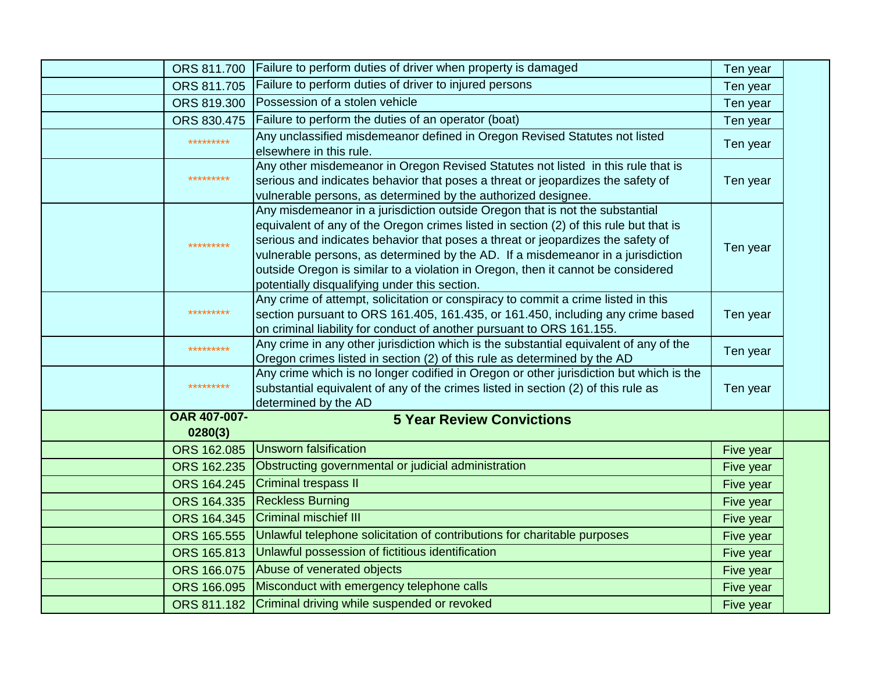| ORS 811.700         | Failure to perform duties of driver when property is damaged                                                                      | Ten year  |  |
|---------------------|-----------------------------------------------------------------------------------------------------------------------------------|-----------|--|
| ORS 811.705         | Failure to perform duties of driver to injured persons                                                                            | Ten year  |  |
| ORS 819.300         | Possession of a stolen vehicle                                                                                                    | Ten year  |  |
| ORS 830.475         | Failure to perform the duties of an operator (boat)                                                                               | Ten year  |  |
| *********           | Any unclassified misdemeanor defined in Oregon Revised Statutes not listed                                                        |           |  |
|                     | elsewhere in this rule.                                                                                                           | Ten year  |  |
|                     | Any other misdemeanor in Oregon Revised Statutes not listed in this rule that is                                                  |           |  |
| *********           | serious and indicates behavior that poses a threat or jeopardizes the safety of                                                   | Ten year  |  |
|                     | vulnerable persons, as determined by the authorized designee.                                                                     |           |  |
|                     | Any misdemeanor in a jurisdiction outside Oregon that is not the substantial                                                      |           |  |
|                     | equivalent of any of the Oregon crimes listed in section (2) of this rule but that is                                             |           |  |
| *********           | serious and indicates behavior that poses a threat or jeopardizes the safety of                                                   | Ten year  |  |
|                     | vulnerable persons, as determined by the AD. If a misdemeanor in a jurisdiction                                                   |           |  |
|                     | outside Oregon is similar to a violation in Oregon, then it cannot be considered<br>potentially disqualifying under this section. |           |  |
|                     | Any crime of attempt, solicitation or conspiracy to commit a crime listed in this                                                 |           |  |
| *********           | section pursuant to ORS 161.405, 161.435, or 161.450, including any crime based                                                   | Ten year  |  |
|                     | on criminal liability for conduct of another pursuant to ORS 161.155.                                                             |           |  |
| *********           | Any crime in any other jurisdiction which is the substantial equivalent of any of the                                             |           |  |
|                     | Oregon crimes listed in section (2) of this rule as determined by the AD                                                          | Ten year  |  |
|                     | Any crime which is no longer codified in Oregon or other jurisdiction but which is the                                            |           |  |
| *********           | substantial equivalent of any of the crimes listed in section (2) of this rule as                                                 | Ten year  |  |
|                     | determined by the AD                                                                                                              |           |  |
| <b>OAR 407-007-</b> | <b>5 Year Review Convictions</b>                                                                                                  |           |  |
| 0280(3)             |                                                                                                                                   |           |  |
| ORS 162.085         | Unsworn falsification                                                                                                             | Five year |  |
| ORS 162.235         | Obstructing governmental or judicial administration                                                                               | Five year |  |
| ORS 164.245         | <b>Criminal trespass II</b>                                                                                                       | Five year |  |
| ORS 164.335         | <b>Reckless Burning</b>                                                                                                           | Five year |  |
| ORS 164.345         | <b>Criminal mischief III</b>                                                                                                      | Five year |  |
| ORS 165.555         | Unlawful telephone solicitation of contributions for charitable purposes                                                          | Five year |  |
| ORS 165.813         | Unlawful possession of fictitious identification                                                                                  | Five year |  |
| ORS 166.075         | Abuse of venerated objects                                                                                                        | Five year |  |
| ORS 166.095         | Misconduct with emergency telephone calls                                                                                         | Five year |  |
|                     | ORS 811.182 Criminal driving while suspended or revoked                                                                           | Five year |  |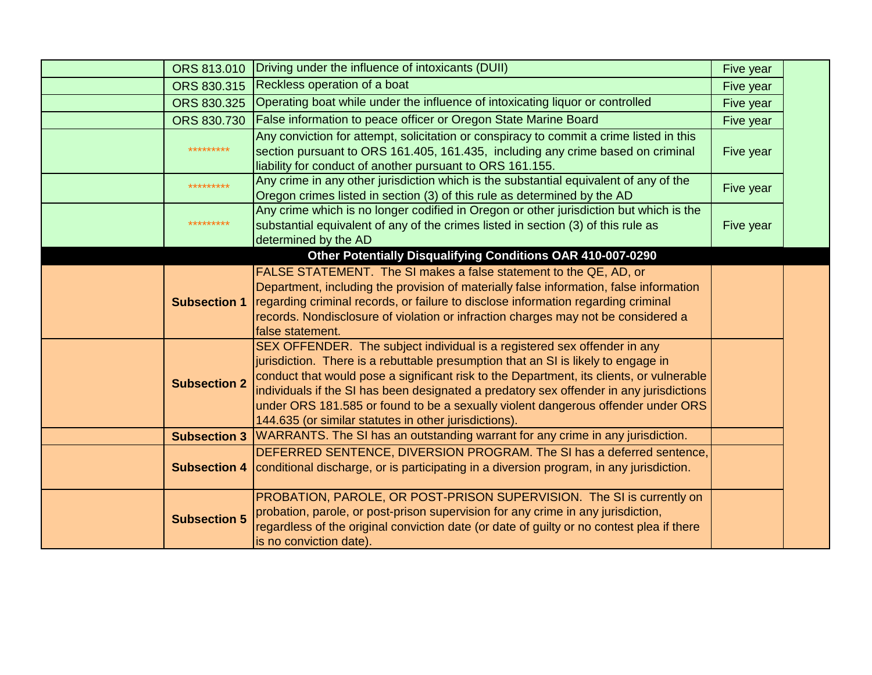|  |                     | ORS 813.010 Driving under the influence of intoxicants (DUII)                                               | Five year |  |
|--|---------------------|-------------------------------------------------------------------------------------------------------------|-----------|--|
|  | ORS 830.315         | Reckless operation of a boat                                                                                | Five year |  |
|  | ORS 830.325         | Operating boat while under the influence of intoxicating liquor or controlled                               | Five year |  |
|  | ORS 830.730         | False information to peace officer or Oregon State Marine Board                                             | Five year |  |
|  |                     | Any conviction for attempt, solicitation or conspiracy to commit a crime listed in this                     |           |  |
|  | *********           | section pursuant to ORS 161.405, 161.435, including any crime based on criminal                             | Five year |  |
|  |                     | liability for conduct of another pursuant to ORS 161.155.                                                   |           |  |
|  | *********           | Any crime in any other jurisdiction which is the substantial equivalent of any of the                       | Five year |  |
|  |                     | Oregon crimes listed in section (3) of this rule as determined by the AD                                    |           |  |
|  | *********           | Any crime which is no longer codified in Oregon or other jurisdiction but which is the                      |           |  |
|  |                     | substantial equivalent of any of the crimes listed in section (3) of this rule as                           | Five year |  |
|  |                     | determined by the AD                                                                                        |           |  |
|  |                     | Other Potentially Disqualifying Conditions OAR 410-007-0290                                                 |           |  |
|  |                     | FALSE STATEMENT. The SI makes a false statement to the QE, AD, or                                           |           |  |
|  |                     | Department, including the provision of materially false information, false information                      |           |  |
|  |                     | <b>Subsection 1</b> regarding criminal records, or failure to disclose information regarding criminal       |           |  |
|  |                     | records. Nondisclosure of violation or infraction charges may not be considered a                           |           |  |
|  |                     | false statement.                                                                                            |           |  |
|  |                     | SEX OFFENDER. The subject individual is a registered sex offender in any                                    |           |  |
|  |                     | jurisdiction. There is a rebuttable presumption that an SI is likely to engage in                           |           |  |
|  | <b>Subsection 2</b> | conduct that would pose a significant risk to the Department, its clients, or vulnerable                    |           |  |
|  |                     | individuals if the SI has been designated a predatory sex offender in any jurisdictions                     |           |  |
|  |                     | under ORS 181.585 or found to be a sexually violent dangerous offender under ORS                            |           |  |
|  |                     | 144.635 (or similar statutes in other jurisdictions).                                                       |           |  |
|  |                     | Subsection 3   WARRANTS. The SI has an outstanding warrant for any crime in any jurisdiction.               |           |  |
|  |                     | DEFERRED SENTENCE, DIVERSION PROGRAM. The SI has a deferred sentence,                                       |           |  |
|  |                     | <b>Subsection 4</b> conditional discharge, or is participating in a diversion program, in any jurisdiction. |           |  |
|  |                     |                                                                                                             |           |  |
|  |                     | PROBATION, PAROLE, OR POST-PRISON SUPERVISION. The SI is currently on                                       |           |  |
|  | <b>Subsection 5</b> | probation, parole, or post-prison supervision for any crime in any jurisdiction,                            |           |  |
|  |                     | regardless of the original conviction date (or date of guilty or no contest plea if there                   |           |  |
|  |                     | is no conviction date).                                                                                     |           |  |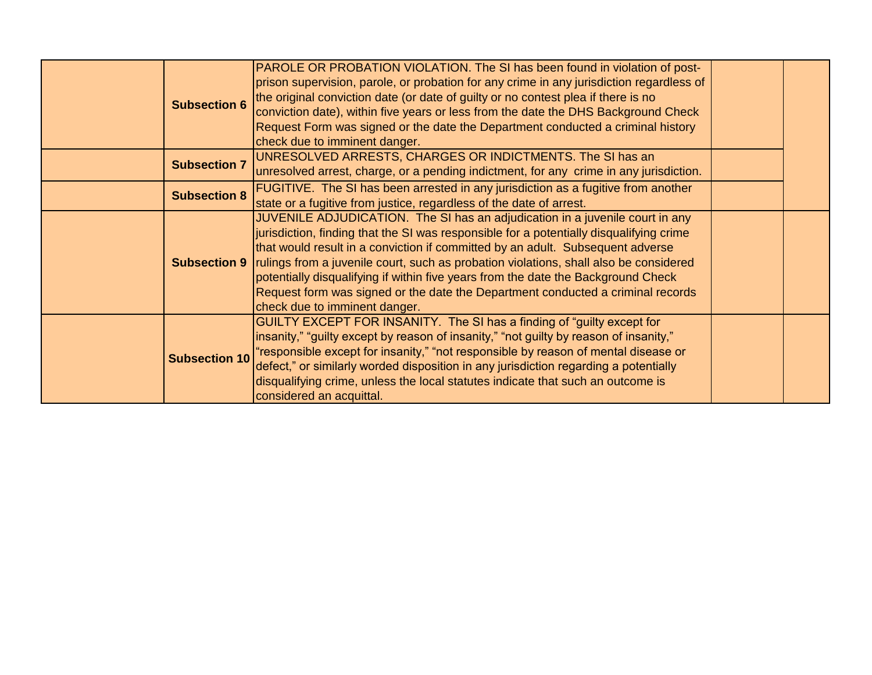| <b>Subsection 6</b>  | PAROLE OR PROBATION VIOLATION. The SI has been found in violation of post-<br>prison supervision, parole, or probation for any crime in any jurisdiction regardless of<br>the original conviction date (or date of guilty or no contest plea if there is no<br>conviction date), within five years or less from the date the DHS Background Check<br>Request Form was signed or the date the Department conducted a criminal history<br>check due to imminent danger.                                                                                                           |  |
|----------------------|---------------------------------------------------------------------------------------------------------------------------------------------------------------------------------------------------------------------------------------------------------------------------------------------------------------------------------------------------------------------------------------------------------------------------------------------------------------------------------------------------------------------------------------------------------------------------------|--|
| <b>Subsection 7</b>  | UNRESOLVED ARRESTS, CHARGES OR INDICTMENTS. The SI has an<br>unresolved arrest, charge, or a pending indictment, for any crime in any jurisdiction.                                                                                                                                                                                                                                                                                                                                                                                                                             |  |
| <b>Subsection 8</b>  | <b>FUGITIVE.</b> The SI has been arrested in any jurisdiction as a fugitive from another<br>state or a fugitive from justice, regardless of the date of arrest.                                                                                                                                                                                                                                                                                                                                                                                                                 |  |
|                      | JUVENILE ADJUDICATION. The SI has an adjudication in a juvenile court in any<br>jurisdiction, finding that the SI was responsible for a potentially disqualifying crime<br>that would result in a conviction if committed by an adult. Subsequent adverse<br><b>Subsection 9</b> rulings from a juvenile court, such as probation violations, shall also be considered<br>potentially disqualifying if within five years from the date the Background Check<br>Request form was signed or the date the Department conducted a criminal records<br>check due to imminent danger. |  |
| <b>Subsection 10</b> | GUILTY EXCEPT FOR INSANITY. The SI has a finding of "guilty except for<br>linsanity," "guilty except by reason of insanity," "not guilty by reason of insanity,"<br>"responsible except for insanity," "not responsible by reason of mental disease or<br>defect," or similarly worded disposition in any jurisdiction regarding a potentially<br>disqualifying crime, unless the local statutes indicate that such an outcome is<br>considered an acquittal.                                                                                                                   |  |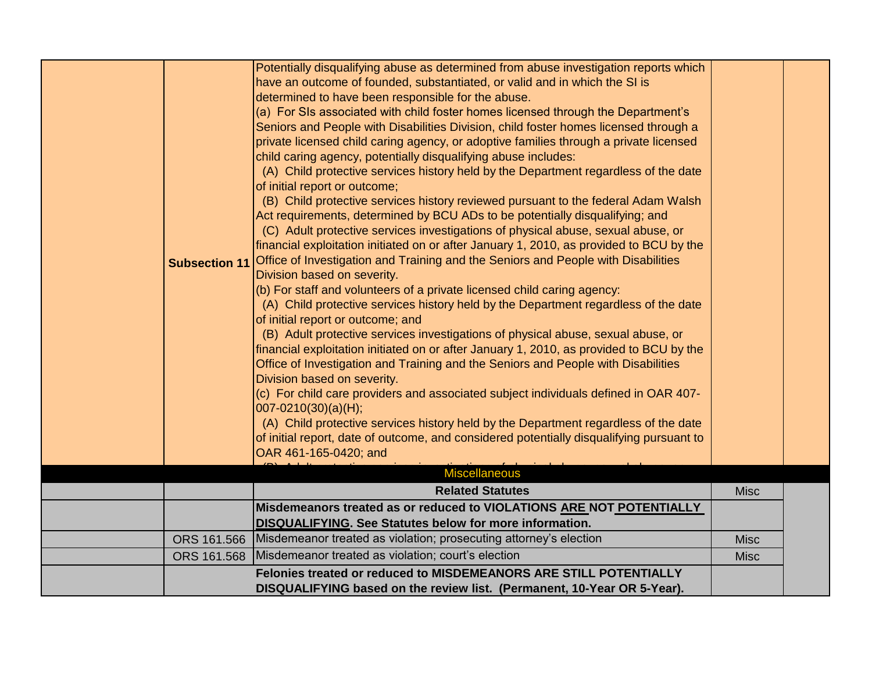| <b>Subsection 11</b> | Potentially disqualifying abuse as determined from abuse investigation reports which<br>have an outcome of founded, substantiated, or valid and in which the SI is<br>determined to have been responsible for the abuse.<br>(a) For SIs associated with child foster homes licensed through the Department's<br>Seniors and People with Disabilities Division, child foster homes licensed through a<br>private licensed child caring agency, or adoptive families through a private licensed<br>child caring agency, potentially disqualifying abuse includes:<br>(A) Child protective services history held by the Department regardless of the date<br>of initial report or outcome;<br>(B) Child protective services history reviewed pursuant to the federal Adam Walsh<br>Act requirements, determined by BCU ADs to be potentially disqualifying; and<br>(C) Adult protective services investigations of physical abuse, sexual abuse, or<br>financial exploitation initiated on or after January 1, 2010, as provided to BCU by the<br>Office of Investigation and Training and the Seniors and People with Disabilities<br>Division based on severity.<br>(b) For staff and volunteers of a private licensed child caring agency:<br>(A) Child protective services history held by the Department regardless of the date<br>of initial report or outcome; and<br>(B) Adult protective services investigations of physical abuse, sexual abuse, or<br>financial exploitation initiated on or after January 1, 2010, as provided to BCU by the<br>Office of Investigation and Training and the Seniors and People with Disabilities<br>Division based on severity.<br>(c) For child care providers and associated subject individuals defined in OAR 407-<br>$ 007-0210(30)(a)(H);$<br>(A) Child protective services history held by the Department regardless of the date<br>of initial report, date of outcome, and considered potentially disqualifying pursuant to<br>OAR 461-165-0420; and<br><b>Miscellaneous</b> |             |  |
|----------------------|--------------------------------------------------------------------------------------------------------------------------------------------------------------------------------------------------------------------------------------------------------------------------------------------------------------------------------------------------------------------------------------------------------------------------------------------------------------------------------------------------------------------------------------------------------------------------------------------------------------------------------------------------------------------------------------------------------------------------------------------------------------------------------------------------------------------------------------------------------------------------------------------------------------------------------------------------------------------------------------------------------------------------------------------------------------------------------------------------------------------------------------------------------------------------------------------------------------------------------------------------------------------------------------------------------------------------------------------------------------------------------------------------------------------------------------------------------------------------------------------------------------------------------------------------------------------------------------------------------------------------------------------------------------------------------------------------------------------------------------------------------------------------------------------------------------------------------------------------------------------------------------------------------------------------------------------------------------------------------------------------------------------------------|-------------|--|
|                      | <b>Related Statutes</b>                                                                                                                                                                                                                                                                                                                                                                                                                                                                                                                                                                                                                                                                                                                                                                                                                                                                                                                                                                                                                                                                                                                                                                                                                                                                                                                                                                                                                                                                                                                                                                                                                                                                                                                                                                                                                                                                                                                                                                                                        | <b>Misc</b> |  |
|                      | Misdemeanors treated as or reduced to VIOLATIONS ARE NOT POTENTIALLY                                                                                                                                                                                                                                                                                                                                                                                                                                                                                                                                                                                                                                                                                                                                                                                                                                                                                                                                                                                                                                                                                                                                                                                                                                                                                                                                                                                                                                                                                                                                                                                                                                                                                                                                                                                                                                                                                                                                                           |             |  |
|                      | <b>DISQUALIFYING. See Statutes below for more information.</b>                                                                                                                                                                                                                                                                                                                                                                                                                                                                                                                                                                                                                                                                                                                                                                                                                                                                                                                                                                                                                                                                                                                                                                                                                                                                                                                                                                                                                                                                                                                                                                                                                                                                                                                                                                                                                                                                                                                                                                 |             |  |
|                      | ORS 161.566 Misdemeanor treated as violation; prosecuting attorney's election                                                                                                                                                                                                                                                                                                                                                                                                                                                                                                                                                                                                                                                                                                                                                                                                                                                                                                                                                                                                                                                                                                                                                                                                                                                                                                                                                                                                                                                                                                                                                                                                                                                                                                                                                                                                                                                                                                                                                  | <b>Misc</b> |  |
|                      | ORS 161.568 Misdemeanor treated as violation; court's election                                                                                                                                                                                                                                                                                                                                                                                                                                                                                                                                                                                                                                                                                                                                                                                                                                                                                                                                                                                                                                                                                                                                                                                                                                                                                                                                                                                                                                                                                                                                                                                                                                                                                                                                                                                                                                                                                                                                                                 | <b>Misc</b> |  |
|                      | Felonies treated or reduced to MISDEMEANORS ARE STILL POTENTIALLY<br>DISQUALIFYING based on the review list. (Permanent, 10-Year OR 5-Year).                                                                                                                                                                                                                                                                                                                                                                                                                                                                                                                                                                                                                                                                                                                                                                                                                                                                                                                                                                                                                                                                                                                                                                                                                                                                                                                                                                                                                                                                                                                                                                                                                                                                                                                                                                                                                                                                                   |             |  |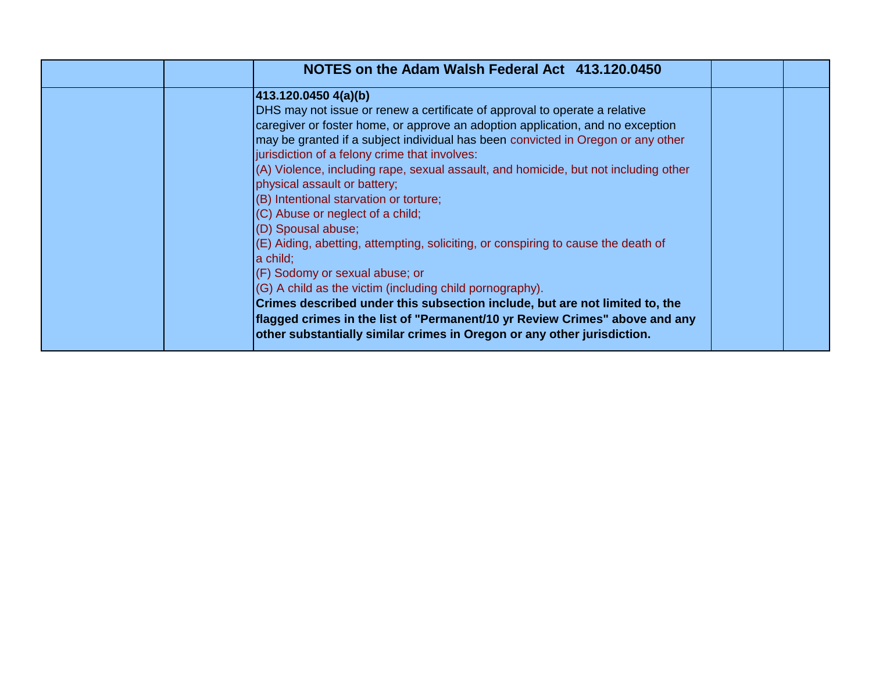| NOTES on the Adam Walsh Federal Act 413.120.0450                                                                                                                                                                                                                                                                                                                                                                                                                                                                                                                                                                                                                                                                                                                                                                                                                                                                                                                                             |  |
|----------------------------------------------------------------------------------------------------------------------------------------------------------------------------------------------------------------------------------------------------------------------------------------------------------------------------------------------------------------------------------------------------------------------------------------------------------------------------------------------------------------------------------------------------------------------------------------------------------------------------------------------------------------------------------------------------------------------------------------------------------------------------------------------------------------------------------------------------------------------------------------------------------------------------------------------------------------------------------------------|--|
| 413.120.0450 4(a)(b)<br>DHS may not issue or renew a certificate of approval to operate a relative<br>caregiver or foster home, or approve an adoption application, and no exception<br>may be granted if a subject individual has been convicted in Oregon or any other<br>jurisdiction of a felony crime that involves:<br>(A) Violence, including rape, sexual assault, and homicide, but not including other<br>physical assault or battery;<br>(B) Intentional starvation or torture;<br>(C) Abuse or neglect of a child;<br>(D) Spousal abuse;<br>(E) Aiding, abetting, attempting, soliciting, or conspiring to cause the death of<br>a child;<br>(F) Sodomy or sexual abuse; or<br>(G) A child as the victim (including child pornography).<br>Crimes described under this subsection include, but are not limited to, the<br>flagged crimes in the list of "Permanent/10 yr Review Crimes" above and any<br>other substantially similar crimes in Oregon or any other jurisdiction. |  |